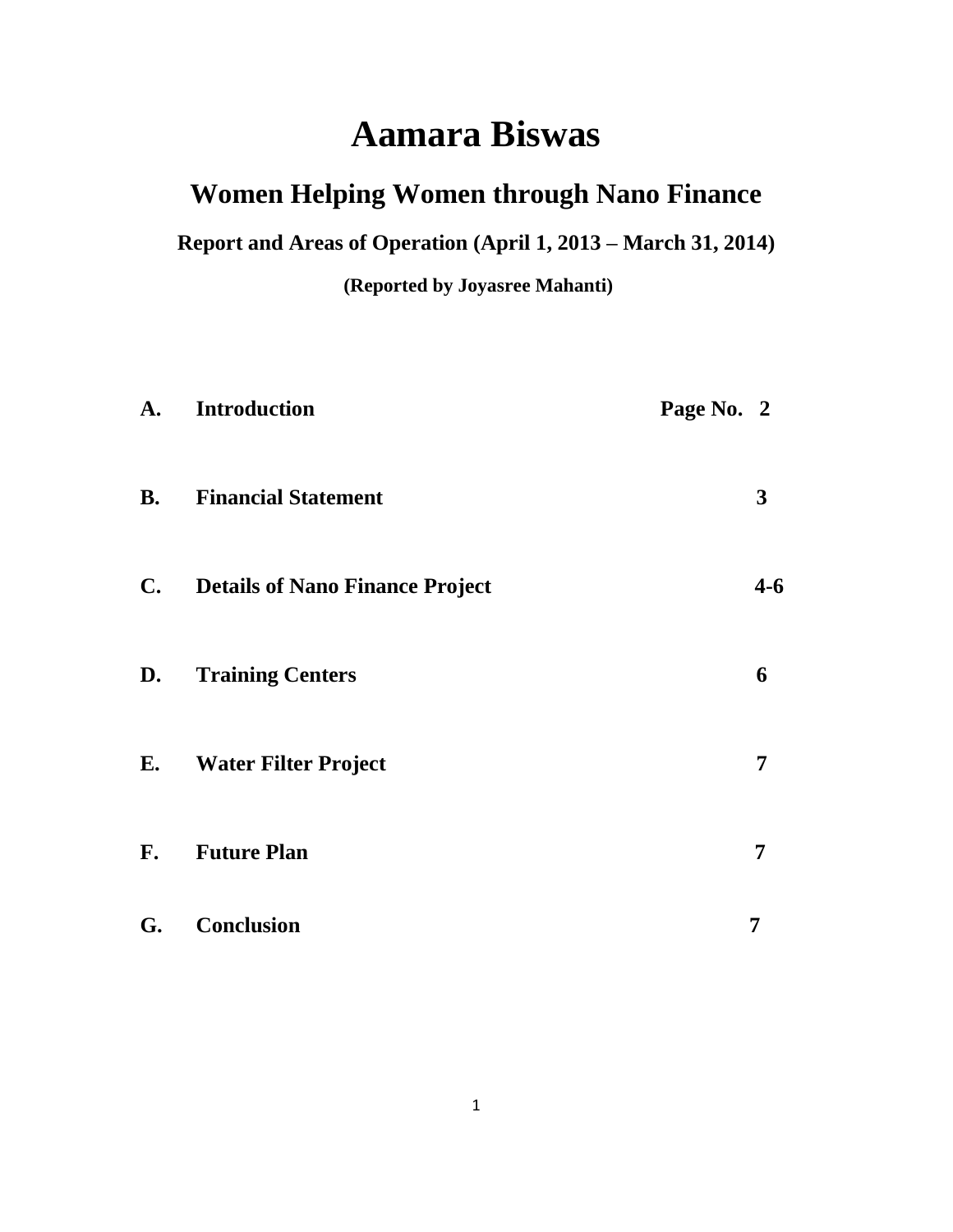# **Aamara Biswas**

## **Women Helping Women through Nano Finance**

**Report and Areas of Operation (April 1, 2013 – March 31, 2014)**

**(Reported by Joyasree Mahanti)**

| A.            | <b>Introduction</b>                    | Page No. 2 |         |
|---------------|----------------------------------------|------------|---------|
|               | <b>B.</b> Financial Statement          |            | 3       |
| $C_{\bullet}$ | <b>Details of Nano Finance Project</b> |            | $4 - 6$ |
| D.            | <b>Training Centers</b>                |            | 6       |
|               | <b>E.</b> Water Filter Project         |            | 7       |
| F.            | <b>Future Plan</b>                     |            | 7       |
| G.            | <b>Conclusion</b>                      |            | 7       |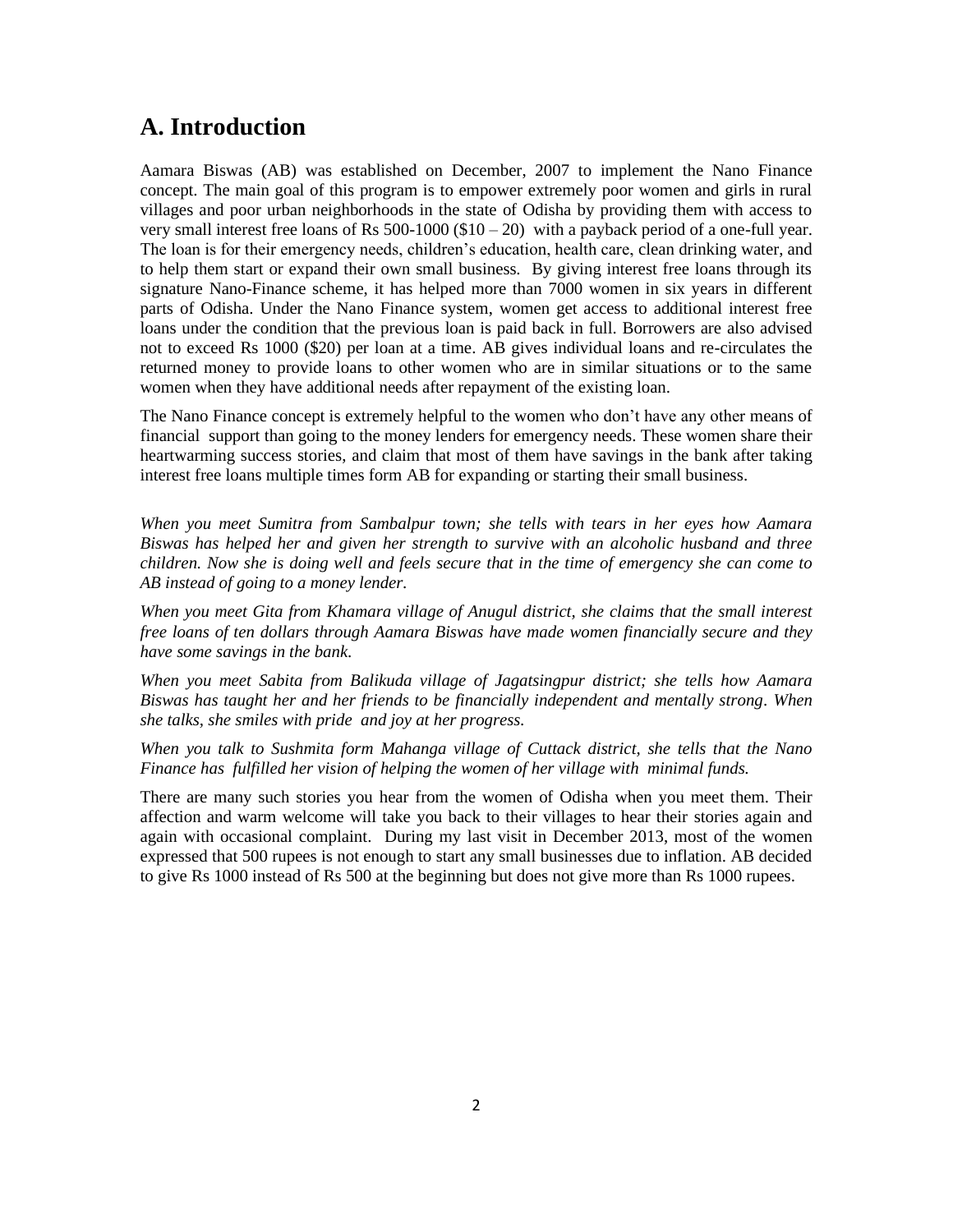## **A. Introduction**

Aamara Biswas (AB) was established on December, 2007 to implement the Nano Finance concept. The main goal of this program is to empower extremely poor women and girls in rural villages and poor urban neighborhoods in the state of Odisha by providing them with access to very small interest free loans of Rs  $500-1000$  (\$10 – 20) with a payback period of a one-full year. The loan is for their emergency needs, children's education, health care, clean drinking water, and to help them start or expand their own small business. By giving interest free loans through its signature Nano-Finance scheme, it has helped more than 7000 women in six years in different parts of Odisha. Under the Nano Finance system, women get access to additional interest free loans under the condition that the previous loan is paid back in full. Borrowers are also advised not to exceed Rs 1000 (\$20) per loan at a time. AB gives individual loans and re-circulates the returned money to provide loans to other women who are in similar situations or to the same women when they have additional needs after repayment of the existing loan.

The Nano Finance concept is extremely helpful to the women who don't have any other means of financial support than going to the money lenders for emergency needs. These women share their heartwarming success stories, and claim that most of them have savings in the bank after taking interest free loans multiple times form AB for expanding or starting their small business.

*When you meet Sumitra from Sambalpur town; she tells with tears in her eyes how Aamara Biswas has helped her and given her strength to survive with an alcoholic husband and three children. Now she is doing well and feels secure that in the time of emergency she can come to AB instead of going to a money lender.*

*When you meet Gita from Khamara village of Anugul district, she claims that the small interest free loans of ten dollars through Aamara Biswas have made women financially secure and they have some savings in the bank.* 

*When you meet Sabita from Balikuda village of Jagatsingpur district; she tells how Aamara Biswas has taught her and her friends to be financially independent and mentally strong. When she talks, she smiles with pride and joy at her progress.*

*When you talk to Sushmita form Mahanga village of Cuttack district, she tells that the Nano Finance has fulfilled her vision of helping the women of her village with minimal funds.* 

There are many such stories you hear from the women of Odisha when you meet them. Their affection and warm welcome will take you back to their villages to hear their stories again and again with occasional complaint. During my last visit in December 2013, most of the women expressed that 500 rupees is not enough to start any small businesses due to inflation. AB decided to give Rs 1000 instead of Rs 500 at the beginning but does not give more than Rs 1000 rupees.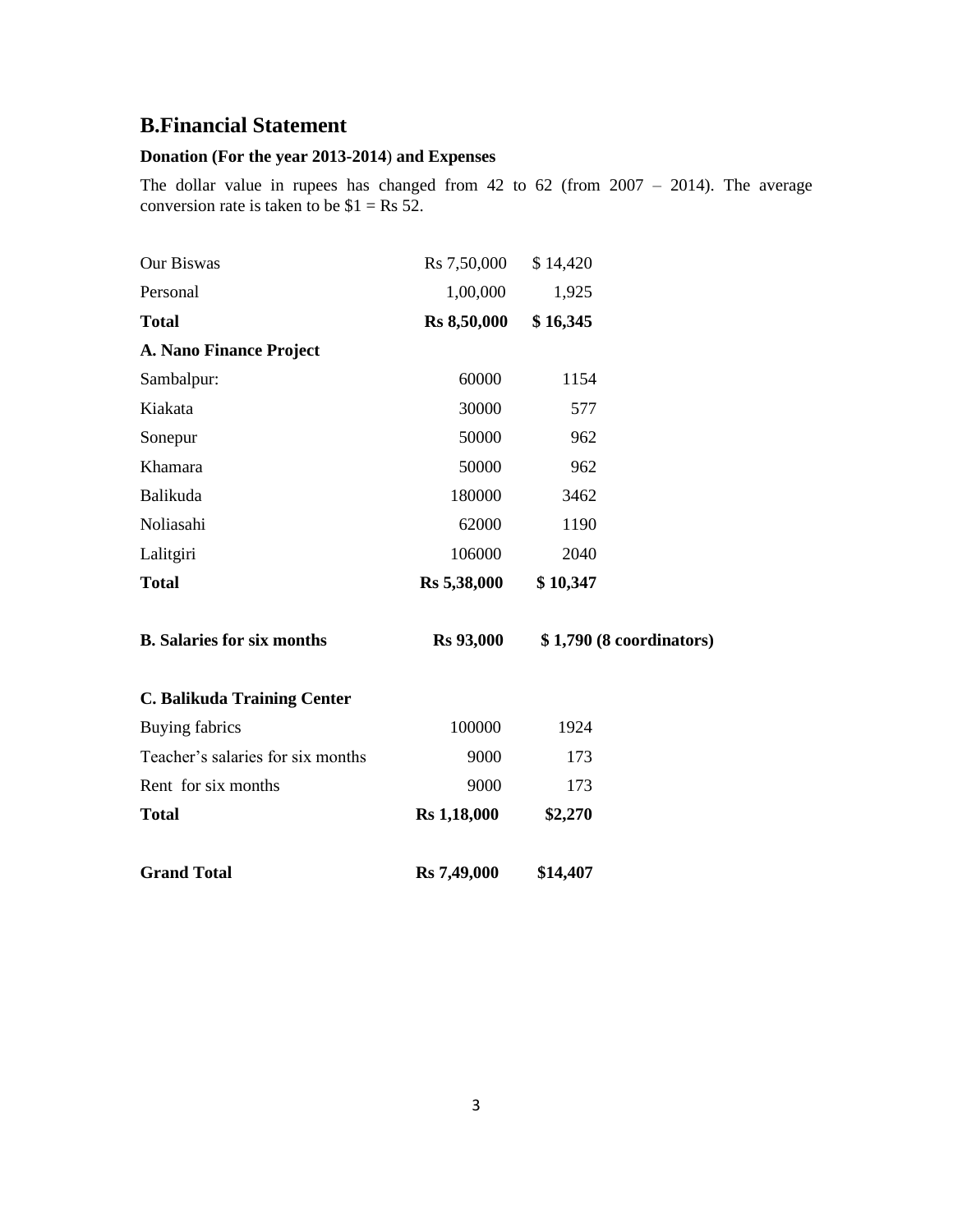## **B.Financial Statement**

#### **Donation (For the year 2013-2014**) **and Expenses**

The dollar value in rupees has changed from 42 to 62 (from 2007 – 2014). The average conversion rate is taken to be  $$1 = \text{Rs } 52$ .

| Our Biswas                         | Rs 7,50,000        | \$14,420 |                          |
|------------------------------------|--------------------|----------|--------------------------|
| Personal                           | 1,00,000           | 1,925    |                          |
| <b>Total</b>                       | <b>Rs 8,50,000</b> | \$16,345 |                          |
| A. Nano Finance Project            |                    |          |                          |
| Sambalpur:                         | 60000              | 1154     |                          |
| Kiakata                            | 30000              | 577      |                          |
| Sonepur                            | 50000              | 962      |                          |
| Khamara                            | 50000              | 962      |                          |
| Balikuda                           | 180000             | 3462     |                          |
| Noliasahi                          | 62000              | 1190     |                          |
| Lalitgiri                          | 106000             | 2040     |                          |
| <b>Total</b>                       | <b>Rs</b> 5,38,000 | \$10,347 |                          |
| <b>B.</b> Salaries for six months  | <b>Rs</b> 93,000   |          | \$1,790 (8 coordinators) |
| <b>C. Balikuda Training Center</b> |                    |          |                          |
| <b>Buying fabrics</b>              | 100000             | 1924     |                          |
| Teacher's salaries for six months  | 9000               | 173      |                          |
| Rent for six months                | 9000               | 173      |                          |
| <b>Total</b>                       | Rs 1,18,000        | \$2,270  |                          |
| <b>Grand Total</b>                 | Rs 7,49,000        | \$14,407 |                          |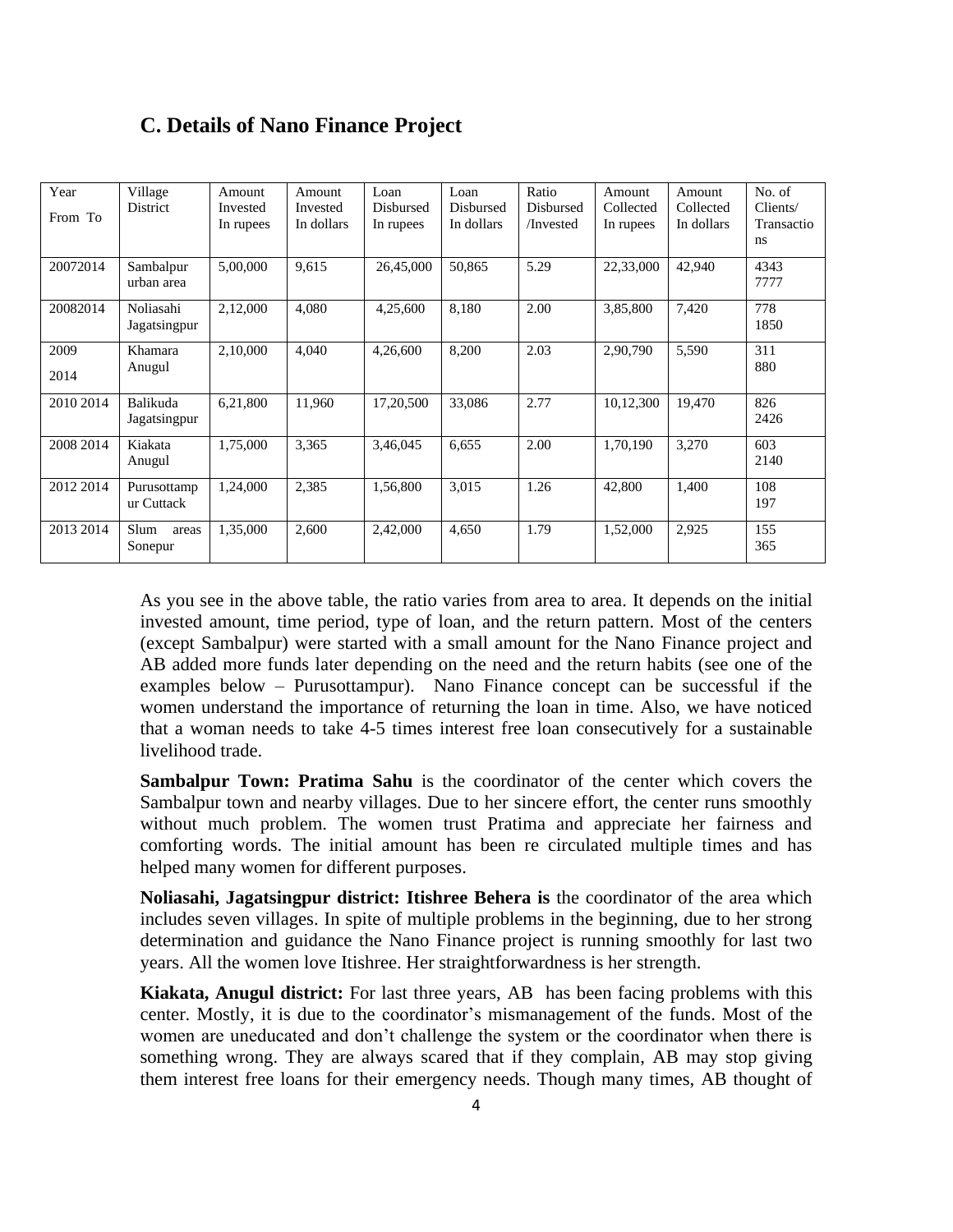#### **C. Details of Nano Finance Project**

| Year<br>From To | Village<br>District       | Amount<br>Invested<br>In rupees | Amount<br>Invested<br>In dollars | Loan<br>Disbursed<br>In rupees | Loan<br>Disbursed<br>In dollars | Ratio<br>Disbursed<br>/Invested | Amount<br>Collected<br>In rupees | Amount<br>Collected<br>In dollars | No. of<br>Clients/<br>Transactio<br>ns |
|-----------------|---------------------------|---------------------------------|----------------------------------|--------------------------------|---------------------------------|---------------------------------|----------------------------------|-----------------------------------|----------------------------------------|
| 20072014        | Sambalpur<br>urban area   | 5,00,000                        | 9,615                            | 26,45,000                      | 50,865                          | 5.29                            | 22,33,000                        | 42,940                            | 4343<br>7777                           |
| 20082014        | Noliasahi<br>Jagatsingpur | 2,12,000                        | 4,080                            | 4,25,600                       | 8,180                           | 2.00                            | 3,85,800                         | 7,420                             | 778<br>1850                            |
| 2009<br>2014    | Khamara<br>Anugul         | 2,10,000                        | 4,040                            | 4,26,600                       | 8,200                           | 2.03                            | 2,90,790                         | 5,590                             | 311<br>880                             |
| 2010 2014       | Balikuda<br>Jagatsingpur  | 6,21,800                        | 11,960                           | 17,20,500                      | 33,086                          | 2.77                            | 10,12,300                        | 19,470                            | 826<br>2426                            |
| 2008 2014       | Kiakata<br>Anugul         | 1,75,000                        | 3,365                            | 3,46,045                       | 6,655                           | 2.00                            | 1,70,190                         | 3,270                             | 603<br>2140                            |
| 2012 2014       | Purusottamp<br>ur Cuttack | 1,24,000                        | 2,385                            | 1,56,800                       | 3,015                           | 1.26                            | 42,800                           | 1,400                             | 108<br>197                             |
| 2013 2014       | Slum<br>areas<br>Sonepur  | 1,35,000                        | 2,600                            | 2,42,000                       | 4,650                           | 1.79                            | 1,52,000                         | 2,925                             | 155<br>365                             |

As you see in the above table, the ratio varies from area to area. It depends on the initial invested amount, time period, type of loan, and the return pattern. Most of the centers (except Sambalpur) were started with a small amount for the Nano Finance project and AB added more funds later depending on the need and the return habits (see one of the examples below – Purusottampur). Nano Finance concept can be successful if the women understand the importance of returning the loan in time. Also, we have noticed that a woman needs to take 4-5 times interest free loan consecutively for a sustainable livelihood trade.

**Sambalpur Town: Pratima Sahu** is the coordinator of the center which covers the Sambalpur town and nearby villages. Due to her sincere effort, the center runs smoothly without much problem. The women trust Pratima and appreciate her fairness and comforting words. The initial amount has been re circulated multiple times and has helped many women for different purposes.

**Noliasahi, Jagatsingpur district: Itishree Behera is** the coordinator of the area which includes seven villages. In spite of multiple problems in the beginning, due to her strong determination and guidance the Nano Finance project is running smoothly for last two years. All the women love Itishree. Her straightforwardness is her strength.

**Kiakata, Anugul district:** For last three years, AB has been facing problems with this center. Mostly, it is due to the coordinator's mismanagement of the funds. Most of the women are uneducated and don't challenge the system or the coordinator when there is something wrong. They are always scared that if they complain, AB may stop giving them interest free loans for their emergency needs. Though many times, AB thought of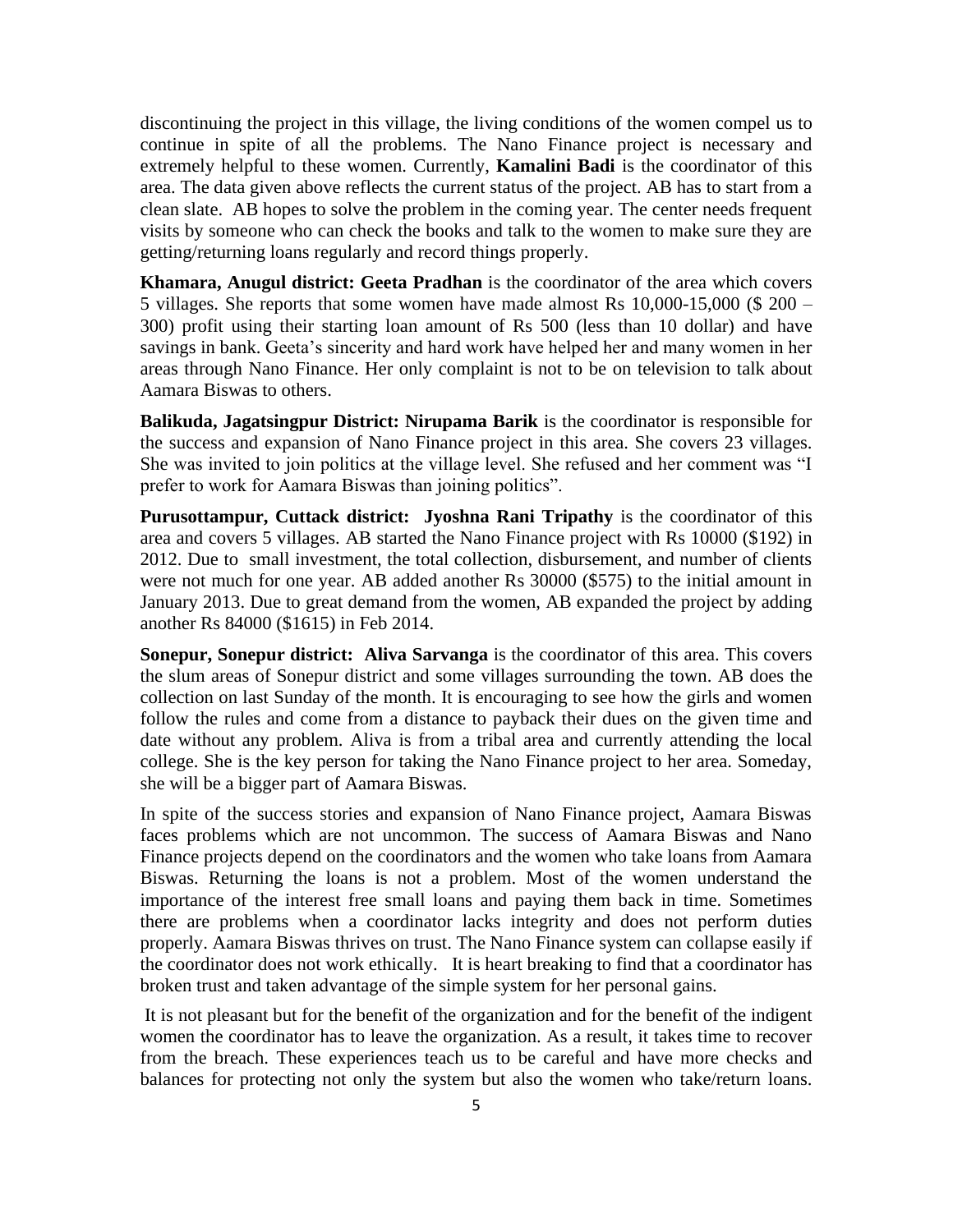discontinuing the project in this village, the living conditions of the women compel us to continue in spite of all the problems. The Nano Finance project is necessary and extremely helpful to these women. Currently, **Kamalini Badi** is the coordinator of this area. The data given above reflects the current status of the project. AB has to start from a clean slate. AB hopes to solve the problem in the coming year. The center needs frequent visits by someone who can check the books and talk to the women to make sure they are getting/returning loans regularly and record things properly.

**Khamara, Anugul district: Geeta Pradhan** is the coordinator of the area which covers 5 villages. She reports that some women have made almost Rs 10,000-15,000 (\$ 200 – 300) profit using their starting loan amount of Rs 500 (less than 10 dollar) and have savings in bank. Geeta's sincerity and hard work have helped her and many women in her areas through Nano Finance. Her only complaint is not to be on television to talk about Aamara Biswas to others.

**Balikuda, Jagatsingpur District: Nirupama Barik** is the coordinator is responsible for the success and expansion of Nano Finance project in this area. She covers 23 villages. She was invited to join politics at the village level. She refused and her comment was "I prefer to work for Aamara Biswas than joining politics".

**Purusottampur, Cuttack district: Jyoshna Rani Tripathy** is the coordinator of this area and covers 5 villages. AB started the Nano Finance project with Rs 10000 (\$192) in 2012. Due to small investment, the total collection, disbursement, and number of clients were not much for one year. AB added another Rs 30000 (\$575) to the initial amount in January 2013. Due to great demand from the women, AB expanded the project by adding another Rs 84000 (\$1615) in Feb 2014.

**Sonepur, Sonepur district: Aliva Sarvanga** is the coordinator of this area. This covers the slum areas of Sonepur district and some villages surrounding the town. AB does the collection on last Sunday of the month. It is encouraging to see how the girls and women follow the rules and come from a distance to payback their dues on the given time and date without any problem. Aliva is from a tribal area and currently attending the local college. She is the key person for taking the Nano Finance project to her area. Someday, she will be a bigger part of Aamara Biswas.

In spite of the success stories and expansion of Nano Finance project, Aamara Biswas faces problems which are not uncommon. The success of Aamara Biswas and Nano Finance projects depend on the coordinators and the women who take loans from Aamara Biswas. Returning the loans is not a problem. Most of the women understand the importance of the interest free small loans and paying them back in time. Sometimes there are problems when a coordinator lacks integrity and does not perform duties properly. Aamara Biswas thrives on trust. The Nano Finance system can collapse easily if the coordinator does not work ethically. It is heart breaking to find that a coordinator has broken trust and taken advantage of the simple system for her personal gains.

It is not pleasant but for the benefit of the organization and for the benefit of the indigent women the coordinator has to leave the organization. As a result, it takes time to recover from the breach. These experiences teach us to be careful and have more checks and balances for protecting not only the system but also the women who take/return loans.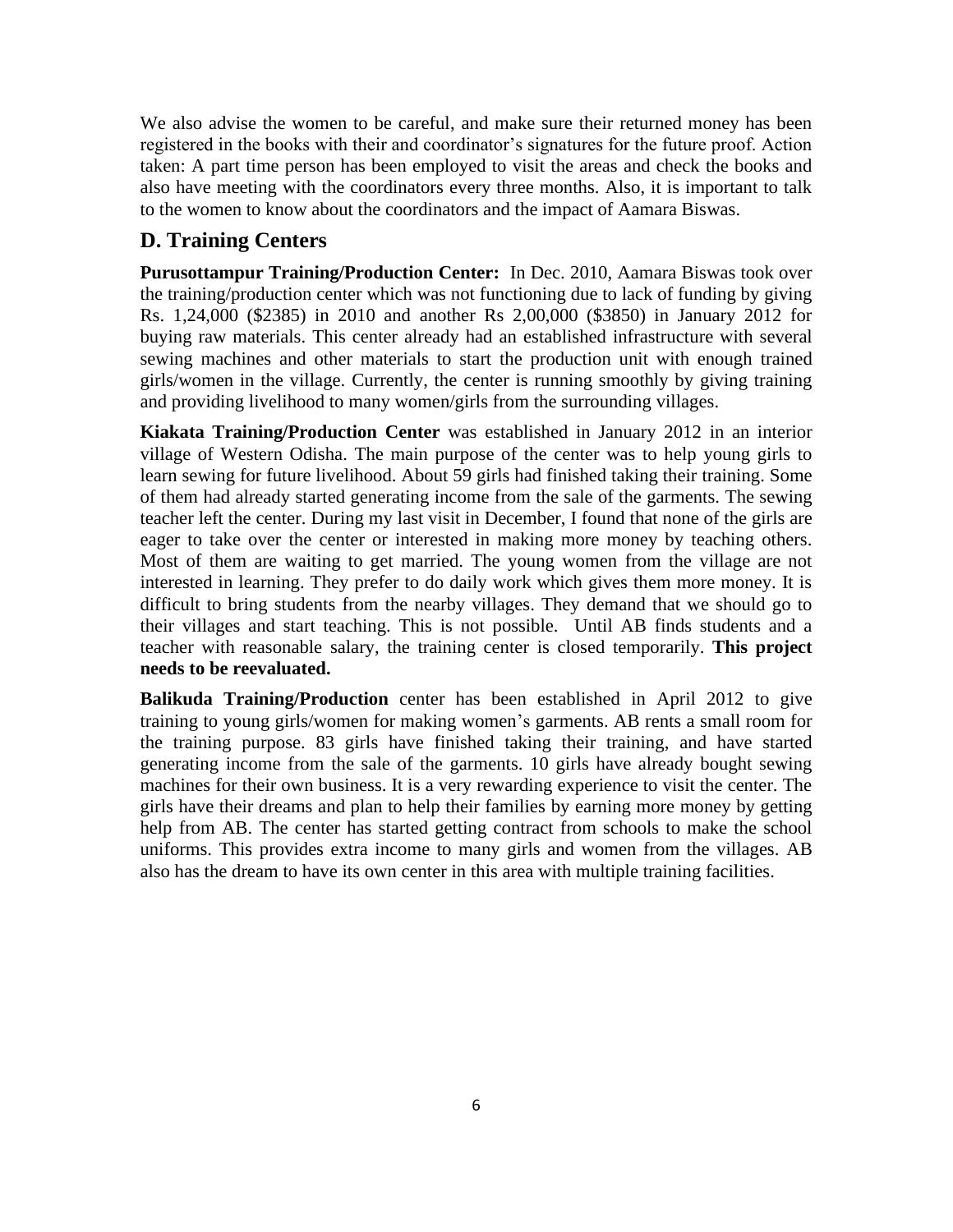We also advise the women to be careful, and make sure their returned money has been registered in the books with their and coordinator's signatures for the future proof. Action taken: A part time person has been employed to visit the areas and check the books and also have meeting with the coordinators every three months. Also, it is important to talk to the women to know about the coordinators and the impact of Aamara Biswas.

#### **D. Training Centers**

**Purusottampur Training/Production Center:** In Dec. 2010, Aamara Biswas took over the training/production center which was not functioning due to lack of funding by giving Rs. 1,24,000 (\$2385) in 2010 and another Rs 2,00,000 (\$3850) in January 2012 for buying raw materials. This center already had an established infrastructure with several sewing machines and other materials to start the production unit with enough trained girls/women in the village. Currently, the center is running smoothly by giving training and providing livelihood to many women/girls from the surrounding villages.

**Kiakata Training/Production Center** was established in January 2012 in an interior village of Western Odisha. The main purpose of the center was to help young girls to learn sewing for future livelihood. About 59 girls had finished taking their training. Some of them had already started generating income from the sale of the garments. The sewing teacher left the center. During my last visit in December, I found that none of the girls are eager to take over the center or interested in making more money by teaching others. Most of them are waiting to get married. The young women from the village are not interested in learning. They prefer to do daily work which gives them more money. It is difficult to bring students from the nearby villages. They demand that we should go to their villages and start teaching. This is not possible. Until AB finds students and a teacher with reasonable salary, the training center is closed temporarily. **This project needs to be reevaluated.**

**Balikuda Training/Production** center has been established in April 2012 to give training to young girls/women for making women's garments. AB rents a small room for the training purpose. 83 girls have finished taking their training, and have started generating income from the sale of the garments. 10 girls have already bought sewing machines for their own business. It is a very rewarding experience to visit the center. The girls have their dreams and plan to help their families by earning more money by getting help from AB. The center has started getting contract from schools to make the school uniforms. This provides extra income to many girls and women from the villages. AB also has the dream to have its own center in this area with multiple training facilities.